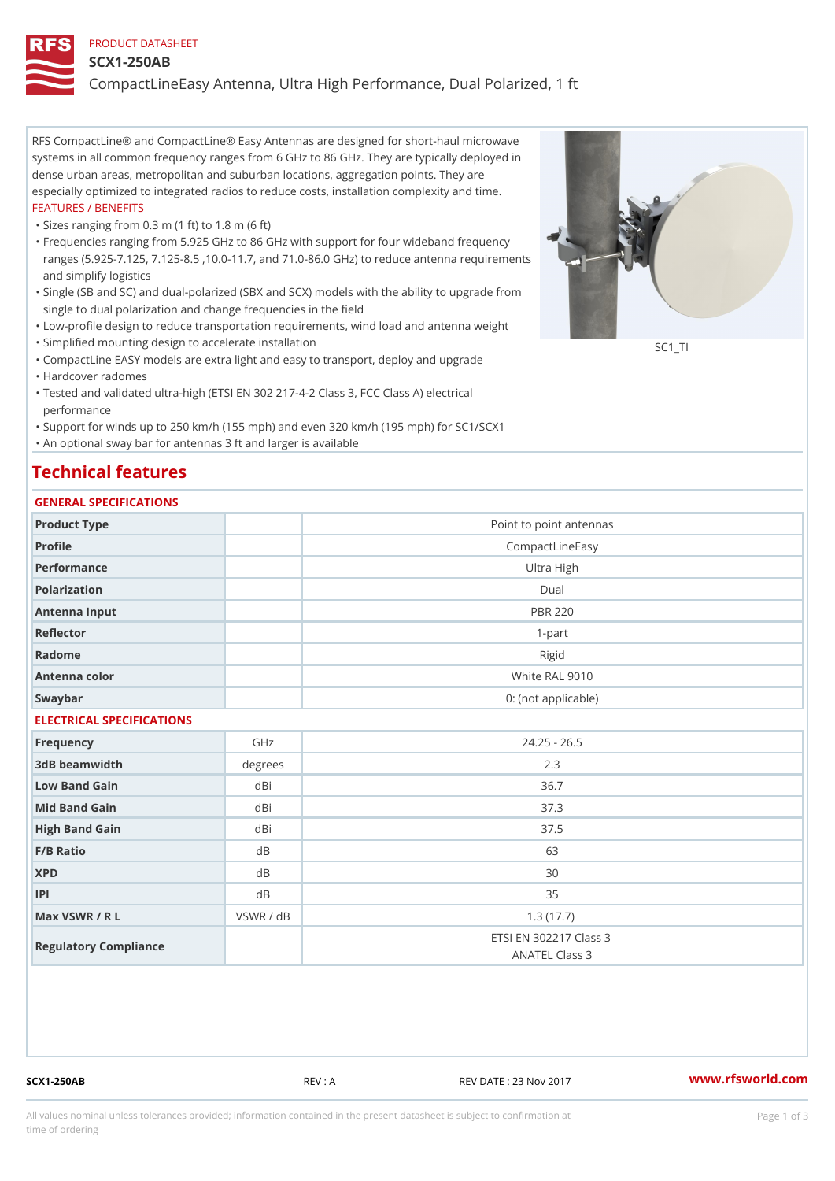### PRODUCT DATASHEET

#### SCX1-250AB

CompactLineEasy Antenna, Ultra High Performance, Dual Polarized, 1 ft

RFS CompactLine® and CompactLine® Easy Antennas are designed for short-haul microwave systems in all common frequency ranges from 6 GHz to 86 GHz. They are typically deployed in dense urban areas, metropolitan and suburban locations, aggregation points. They are especially optimized to integrated radios to reduce costs, installation complexity and time. FEATURES / BENEFITS

"Sizes ranging from 0.3 m (1 ft) to 1.8 m (6 ft)

- Frequencies ranging from 5.925 GHz to 86 GHz with support for four wideband frequency " ranges (5.925-7.125, 7.125-8.5 ,10.0-11.7, and 71.0-86.0 GHz) to reduce antenna requirements and simplify logistics
- Single (SB and SC) and dual-polarized (SBX and SCX) models with the ability to upgrade from " single to dual polarization and change frequencies in the field
- "Low-profile design to reduce transportation requirements, wind load and antenna weight
- "Simplified mounting design to accelerate installation

 "CompactLine EASY models are extra light and easy to transport, deploy and upgrade "Hardcover radomes

Tested and validated ultra-high (ETSI EN 302 217-4-2 Class 3, FCC Class A) electrical " performance

 "Support for winds up to 250 km/h (155 mph) and even 320 km/h (195 mph) for SC1/SCX1 "An optional sway bar for antennas 3 ft and larger is available

## Technical features

## GENERAL SPECIFICATIONS

| OLIVERAL OF LOTITOATIONS  |           |                                          |  |  |  |  |
|---------------------------|-----------|------------------------------------------|--|--|--|--|
| Product Type              |           | Point to point antennas                  |  |  |  |  |
| Profile                   |           | CompactLineEasy                          |  |  |  |  |
| Performance               |           | Ultra High                               |  |  |  |  |
| Polarization              |           | Dual                                     |  |  |  |  |
| Antenna Input             |           | <b>PBR 220</b>                           |  |  |  |  |
| Reflector                 |           | $1 - p$ art                              |  |  |  |  |
| Radome                    |           | Rigid                                    |  |  |  |  |
| Antenna color             |           | White RAL 9010                           |  |  |  |  |
| Swaybar                   |           | 0: (not applicable)                      |  |  |  |  |
| ELECTRICAL SPECIFICATIONS |           |                                          |  |  |  |  |
| Frequency                 | GHz       | $24.25 - 26.5$                           |  |  |  |  |
| 3dB beamwidth             | degrees   | 2.3                                      |  |  |  |  |
| Low Band Gain             | dBi       | 36.7                                     |  |  |  |  |
| Mid Band Gain             | dBi       | 37.3                                     |  |  |  |  |
| High Band Gain            | dBi       | 37.5                                     |  |  |  |  |
| F/B Ratio                 | d B       | 63                                       |  |  |  |  |
| <b>XPD</b>                | d B       | 30                                       |  |  |  |  |
| P                         | d B       | 35                                       |  |  |  |  |
| Max VSWR / R L            | VSWR / dB | 1.3(17.7)                                |  |  |  |  |
| Regulatory Compliance     |           | ETSI EN 302217 Class 3<br>ANATEL Class 3 |  |  |  |  |

SCX1-250AB REV : A REV DATE : 23 Nov 2017 [www.](https://www.rfsworld.com)rfsworld.com

SC<sub>1</sub>TI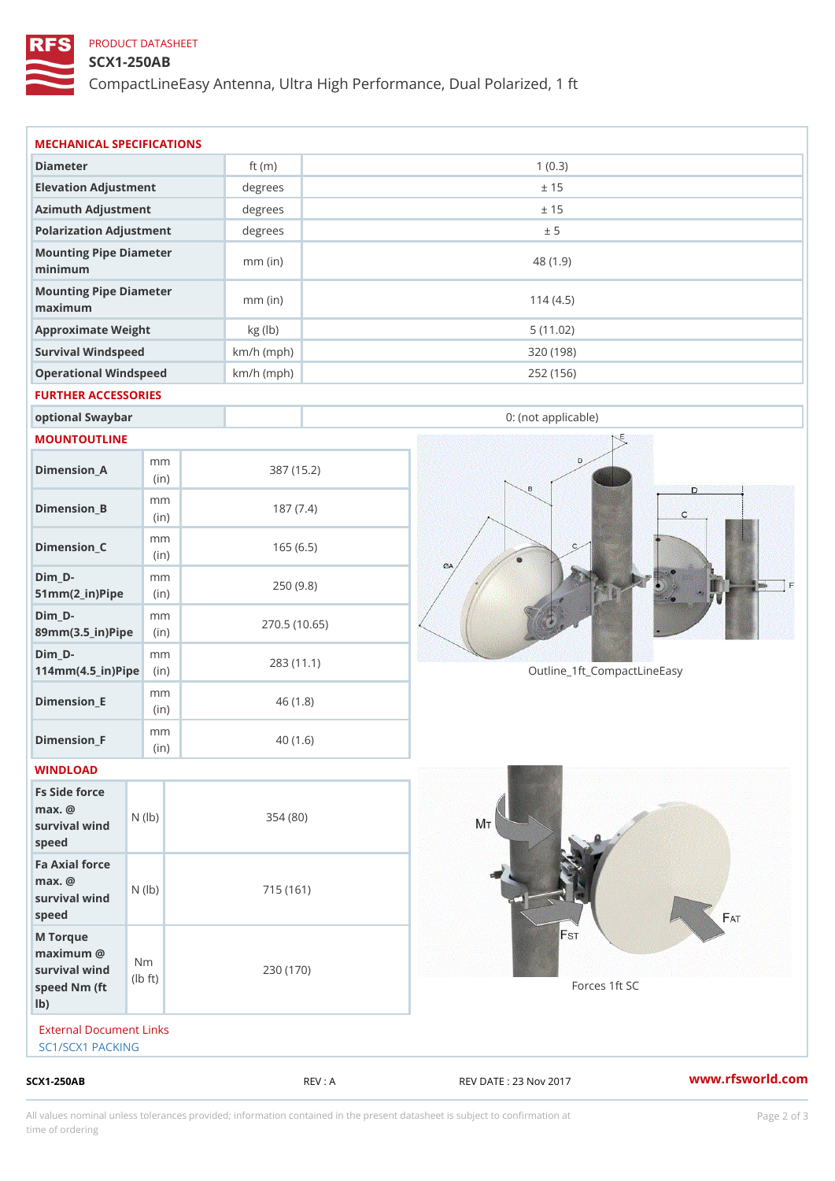## PRODUCT DATASHEET

## SCX1-250AB

CompactLineEasy Antenna, Ultra High Performance, Dual Polarized, 1 ft

| m m<br>(in)<br>survival $wined$ ( $\vert b \rangle$ )<br>survival $w \nvert N$ ( $ b$ )<br>$\pm$ t)<br>External Document Links<br>SC1/SCX1 PACKING | 354(80)<br>715 (161)<br>230 (170)                                                                                                                                              | 40(1.6)                                                                | Forces 1ft SC                                                                                        |                                                        |
|----------------------------------------------------------------------------------------------------------------------------------------------------|--------------------------------------------------------------------------------------------------------------------------------------------------------------------------------|------------------------------------------------------------------------|------------------------------------------------------------------------------------------------------|--------------------------------------------------------|
|                                                                                                                                                    |                                                                                                                                                                                |                                                                        |                                                                                                      |                                                        |
|                                                                                                                                                    |                                                                                                                                                                                |                                                                        |                                                                                                      |                                                        |
|                                                                                                                                                    |                                                                                                                                                                                |                                                                        |                                                                                                      |                                                        |
|                                                                                                                                                    |                                                                                                                                                                                |                                                                        |                                                                                                      |                                                        |
|                                                                                                                                                    |                                                                                                                                                                                |                                                                        |                                                                                                      |                                                        |
|                                                                                                                                                    |                                                                                                                                                                                |                                                                        |                                                                                                      |                                                        |
| m m                                                                                                                                                |                                                                                                                                                                                |                                                                        |                                                                                                      |                                                        |
| m m<br>$114$ m m (4.5 _ ir ) $\sqrt{$ ii p $\sqrt{ }$                                                                                              | 270.5(10.65)<br>283 (11.1)                                                                                                                                                     |                                                                        | Outline_1ft_CompactLineEasy                                                                          |                                                        |
| m m<br>89mm (3.5_in) Pi(pine)                                                                                                                      |                                                                                                                                                                                |                                                                        |                                                                                                      |                                                        |
| m m<br>$51mm(2_in)Pip@in$                                                                                                                          |                                                                                                                                                                                |                                                                        |                                                                                                      |                                                        |
| m m<br>(in)                                                                                                                                        |                                                                                                                                                                                |                                                                        |                                                                                                      |                                                        |
| m m<br>(in)                                                                                                                                        |                                                                                                                                                                                |                                                                        |                                                                                                      |                                                        |
| m m<br>(in)                                                                                                                                        |                                                                                                                                                                                |                                                                        |                                                                                                      |                                                        |
|                                                                                                                                                    |                                                                                                                                                                                |                                                                        |                                                                                                      |                                                        |
| optional Swaybar                                                                                                                                   |                                                                                                                                                                                |                                                                        | 0: (not applicable)                                                                                  |                                                        |
| FURTHER ACCESSORIES                                                                                                                                |                                                                                                                                                                                |                                                                        |                                                                                                      |                                                        |
| Operational Windspeed                                                                                                                              |                                                                                                                                                                                |                                                                        | 252 (156)                                                                                            |                                                        |
|                                                                                                                                                    |                                                                                                                                                                                |                                                                        |                                                                                                      |                                                        |
|                                                                                                                                                    | $mm$ (in)                                                                                                                                                                      |                                                                        | 114(4.5)                                                                                             |                                                        |
|                                                                                                                                                    | $mm$ (in)                                                                                                                                                                      |                                                                        | 48 (1.9)                                                                                             |                                                        |
|                                                                                                                                                    |                                                                                                                                                                                |                                                                        |                                                                                                      |                                                        |
|                                                                                                                                                    |                                                                                                                                                                                |                                                                        |                                                                                                      |                                                        |
|                                                                                                                                                    |                                                                                                                                                                                |                                                                        |                                                                                                      |                                                        |
|                                                                                                                                                    |                                                                                                                                                                                |                                                                        |                                                                                                      |                                                        |
|                                                                                                                                                    | Elevation Adjustment<br>Azimuth Adjustment<br>Polarization Adjustment<br>Mounting Pipe Diameter<br>Mounting Pipe Diameter<br>Approximate Weight<br>Survival Windspeed<br>(i n) | MECHANICAL SPECIFICATIONS<br>ft $(m)$<br>degrees<br>degrees<br>kg (lb) | degrees<br>$km/h$ (mph)<br>$km/h$ (mph)<br>387 (15.2)<br>187(7.4)<br>165(6.5)<br>250(9.8)<br>46(1.8) | 1(0.3)<br>± 15<br>± 15<br>± 5<br>5(11.02)<br>320 (198) |

All values nominal unless tolerances provided; information contained in the present datasheet is subject to Pcapgelio an atio time of ordering